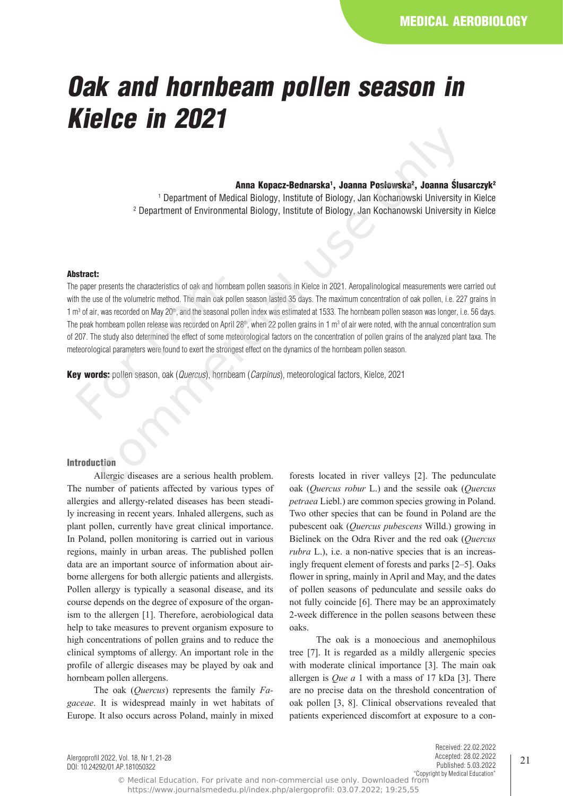# *Oak and hornbeam pollen season in Kielce in 2021*

#### Anna Kopacz-Bednarska<sup>1</sup>, Joanna Posłowska<sup>2</sup>, Joanna Slusarczyk<sup>2</sup>

1 Department of Medical Biology, Institute of Biology, Jan Kochanowski University in Kielce 2 Department of Environmental Biology, Institute of Biology, Jan Kochanowski University in Kielce

#### Abstract:

The paper presents the characteristics of oak and hornbeam pollen seasons in Kielce in 2021. Aeropalinological measurements were carried out with the use of the volumetric method. The main oak pollen season lasted 35 days. The maximum concentration of oak pollen, i.e. 227 grains in 1 m<sup>3</sup> of air, was recorded on May 20th, and the seasonal pollen index was estimated at 1533. The hornbeam pollen season was longer, i.e. 56 days. The peak hornbeam pollen release was recorded on April 28<sup>th</sup>, when 22 pollen grains in 1 m<sup>3</sup> of air were noted, with the annual concentration sum of 207. The study also determined the effect of some meteorological factors on the concentration of pollen grains of the analyzed plant taxa. The meteorological parameters were found to exert the strongest effect on the dynamics of the hornbeam pollen season. e paper presents the characteristics of oak and hor<br>th the use of the volumetric method. The main oak<br>n<sup>3</sup> of air, was recorded on May 20<sup>th</sup>, and the seasona<br>e peak hornbeam pollen release was recorded on A<sub>l</sub><br>207. The st **Anna Kopacz-Bednarska', Joanna Posłowska', Joanna Sun<br>
1 Department of Medical Biology, Institute of Biology, Jan Kochanowski University<br>
2 Department of Environmental Biology, Institute of Biology, Jan Kochanowski Unive** 

Key words: pollen season, oak (*Quercus*), hornbeam (*Carpinus*), meteorological factors, Kielce, 2021

## Introduction

Allergic diseases are a serious health problem. The number of patients affected by various types of allergies and allergy-related diseases has been steadily increasing in recent years. Inhaled allergens, such as plant pollen, currently have great clinical importance. In Poland, pollen monitoring is carried out in various regions, mainly in urban areas. The published pollen data are an important source of information about airborne allergens for both allergic patients and allergists. Pollen allergy is typically a seasonal disease, and its course depends on the degree of exposure of the organism to the allergen [1]. Therefore, aerobiological data help to take measures to prevent organism exposure to high concentrations of pollen grains and to reduce the clinical symptoms of allergy. An important role in the profile of allergic diseases may be played by oak and hornbeam pollen allergens.

The oak (*Quercus*) represents the family *Fagaceae*. It is widespread mainly in wet habitats of Europe. It also occurs across Poland, mainly in mixed

forests located in river valleys [2]. The pedunculate oak (*Quercus robur* L.) and the sessile oak (*Quercus petraea* Liebl.) are common species growing in Poland. Two other species that can be found in Poland are the pubescent oak (*Quercus pubescens* Willd.) growing in Bielinek on the Odra River and the red oak (*Quercus rubra* L.), i.e. a non-native species that is an increasingly frequent element of forests and parks [2–5]. Oaks flower in spring, mainly in April and May, and the dates of pollen seasons of pedunculate and sessile oaks do not fully coincide [6]. There may be an approximately 2-week difference in the pollen seasons between these oaks.

The oak is a monoecious and anemophilous tree [7]. It is regarded as a mildly allergenic species with moderate clinical importance [3]. The main oak allergen is *Que a* 1 with a mass of 17 kDa [3]. There are no precise data on the threshold concentration of oak pollen [3, 8]. Clinical observations revealed that patients experienced discomfort at exposure to a con-

Alergoprofil 2022, Vol. 18, Nr 1, 21-28 DOI: 10.24292/01.AP.181050322

Received: 22.02.2022 Accepted: 28.02.2022 Published: 5.03.2022 "Copyright by Medical Education"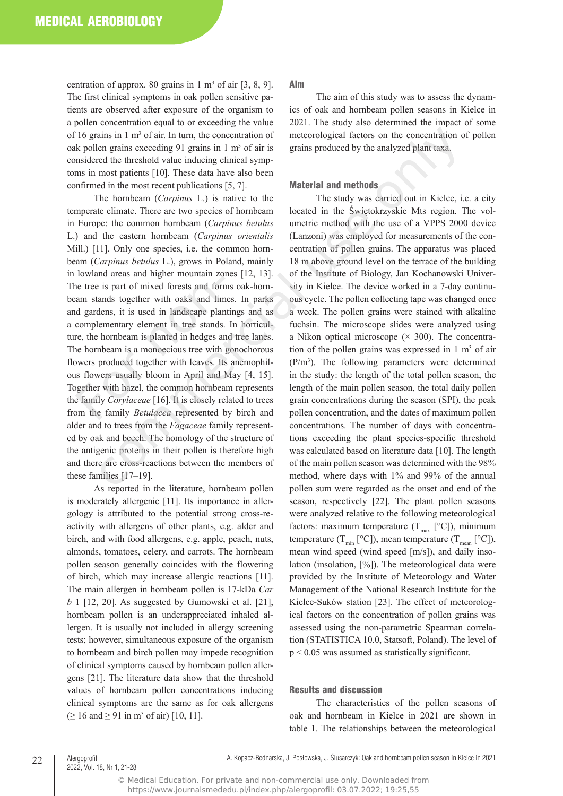centration of approx. 80 grains in  $1 \text{ m}^3$  of air  $[3, 8, 9]$ . The first clinical symptoms in oak pollen sensitive patients are observed after exposure of the organism to a pollen concentration equal to or exceeding the value of 16 grains in  $1 \text{ m}^3$  of air. In turn, the concentration of oak pollen grains exceeding 91 grains in 1 m<sup>3</sup> of air is considered the threshold value inducing clinical symptoms in most patients [10]. These data have also been confirmed in the most recent publications [5, 7].

The hornbeam (*Carpinus* L.) is native to the temperate climate. There are two species of hornbeam in Europe: the common hornbeam (*Carpinus betulus* L.) and the eastern hornbeam (*Carpinus orientalis* Mill.) [11]. Only one species, i.e. the common hornbeam (*Carpinus betulus* L.), grows in Poland, mainly in lowland areas and higher mountain zones [12, 13]. The tree is part of mixed forests and forms oak-hornbeam stands together with oaks and limes. In parks and gardens, it is used in landscape plantings and as a complementary element in tree stands. In horticulture, the hornbeam is planted in hedges and tree lanes. The hornbeam is a monoecious tree with gonochorous flowers produced together with leaves. Its anemophilous flowers usually bloom in April and May [4, 15]. Together with hazel, the common hornbeam represents the family *Corylaceae* [16]. It is closely related to trees from the family *Betulacea* represented by birch and alder and to trees from the *Fagaceae* family represented by oak and beech. The homology of the structure of the antigenic proteins in their pollen is therefore high and there are cross-reactions between the members of these families [17–19]. Formation areas and inglier inculation 20.<br>
The tree is part of mixed forests and form<br>
am stands together with oaks and lim<br>
d gardens, it is used in landscape plan<br>
complementary element in tree stands.<br>
The stands are h

As reported in the literature, hornbeam pollen is moderately allergenic [11]. Its importance in allergology is attributed to the potential strong cross-reactivity with allergens of other plants, e.g. alder and birch, and with food allergens, e.g. apple, peach, nuts, almonds, tomatoes, celery, and carrots. The hornbeam pollen season generally coincides with the flowering of birch, which may increase allergic reactions [11]. The main allergen in hornbeam pollen is 17-kDa *Car b* 1 [12, 20]. As suggested by Gumowski et al. [21], hornbeam pollen is an underappreciated inhaled allergen. It is usually not included in allergy screening tests; however, simultaneous exposure of the organism to hornbeam and birch pollen may impede recognition of clinical symptoms caused by hornbeam pollen allergens [21]. The literature data show that the threshold values of hornbeam pollen concentrations inducing clinical symptoms are the same as for oak allergens  $( \geq 16 \text{ and } \geq 91 \text{ in } \text{m}^3 \text{ of } \text{air})$  [10, 11].

Aim

The aim of this study was to assess the dynamics of oak and hornbeam pollen seasons in Kielce in 2021. The study also determined the impact of some meteorological factors on the concentration of pollen grains produced by the analyzed plant taxa.

#### Material and methods

The study was carried out in Kielce, i.e. a city located in the Świętokrzyskie Mts region. The volumetric method with the use of a VPPS 2000 device (Lanzoni) was employed for measurements of the concentration of pollen grains. The apparatus was placed 18 m above ground level on the terrace of the building of the Institute of Biology, Jan Kochanowski University in Kielce. The device worked in a 7-day continuous cycle. The pollen collecting tape was changed once a week. The pollen grains were stained with alkaline fuchsin. The microscope slides were analyzed using a Nikon optical microscope  $(\times 300)$ . The concentration of the pollen grains was expressed in  $1 \text{ m}^3$  of air (P/m<sup>3</sup> ). The following parameters were determined in the study: the length of the total pollen season, the length of the main pollen season, the total daily pollen grain concentrations during the season (SPI), the peak pollen concentration, and the dates of maximum pollen concentrations. The number of days with concentrations exceeding the plant species-specific threshold was calculated based on literature data [10]. The length of the main pollen season was determined with the 98% method, where days with 1% and 99% of the annual pollen sum were regarded as the onset and end of the season, respectively [22]. The plant pollen seasons were analyzed relative to the following meteorological factors: maximum temperature  $(T_{\text{max}}$  [°C]), minimum temperature ( $T_{min}$  [°C]), mean temperature ( $T_{mean}$  [°C]), mean wind speed (wind speed [m/s]), and daily insolation (insolation, [%]). The meteorological data were provided by the Institute of Meteorology and Water Management of the National Research Institute for the Kielce-Suków station [23]. The effect of meteorological factors on the concentration of pollen grains was assessed using the non-parametric Spearman correlation (STATISTICA 10.0, Statsoft, Poland). The level of p < 0.05 was assumed as statistically significant. xims in 1 m<sup>3</sup> of air. In turn, the concentration of meteorological factors on the concentration of<br>net pains in comparison 1 m<sup>3</sup> of air is grains produced by the analyzed plant taxa.<br>The the thereshold value inducing cl

### Results and discussion

The characteristics of the pollen seasons of oak and hornbeam in Kielce in 2021 are shown in table 1. The relationships between the meteorological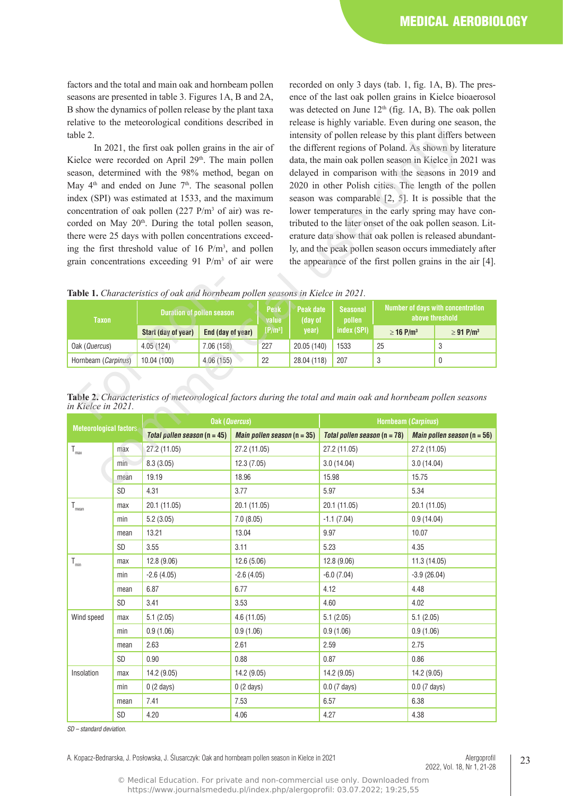factors and the total and main oak and hornbeam pollen seasons are presented in table 3. Figures 1A, B and 2A, B show the dynamics of pollen release by the plant taxa relative to the meteorological conditions described in table 2.

recorded on only 3 days (tab. 1, fig. 1A, B). The presence of the last oak pollen grains in Kielce bioaerosol was detected on June  $12<sup>th</sup>$  (fig. 1A, B). The oak pollen release is highly variable. Even during one season, the intensity of pollen release by this plant differs between the different regions of Poland. As shown by literature data, the main oak pollen season in Kielce in 2021 was delayed in comparison with the seasons in 2019 and 2020 in other Polish cities. The length of the pollen season was comparable [2, 5]. It is possible that the lower temperatures in the early spring may have contributed to the later onset of the oak pollen season. Literature data show that oak pollen is released abundantly, and the peak pollen season occurs immediately after the appearance of the first pollen grains in the air [4].

**Table 1.** *Characteristics of oak and hornbeam pollen seasons in Kielce in 2021.*

| <b>Taxon</b>                                                                                                                       | <b>Duration of pollen season</b> |                   | Peak<br>value       | Peak date<br>(day of | <b>Seasonal</b><br>pollen | <b>Number of days with concentration</b><br>above threshold |                            |  |
|------------------------------------------------------------------------------------------------------------------------------------|----------------------------------|-------------------|---------------------|----------------------|---------------------------|-------------------------------------------------------------|----------------------------|--|
|                                                                                                                                    | Start (day of year)              | End (day of year) | [P/m <sup>3</sup> ] | year)                | index (SPI)               | $\geq$ 16 P/m <sup>3</sup>                                  | $\geq$ 91 P/m <sup>3</sup> |  |
| Oak (Quercus)                                                                                                                      | 4.05(124)                        | 7.06(158)         | 227                 | 20.05 (140)          | 1533                      | 25                                                          | 3                          |  |
| Hornbeam (Carpinus)                                                                                                                | 10.04(100)                       | 4.06(155)         | 22                  | 28.04 (118)          | 207                       | 3                                                           | 0                          |  |
| Table 2. Characteristics of meteorological factors during the total and main oak and hornbeam pollen seasons<br>in Kielce in 2021. |                                  |                   |                     |                      |                           |                                                             |                            |  |

**Table 2.** *Characteristics of meteorological factors during the total and main oak and hornbeam pollen seasons in Kielce in 2021.* 

| table 2.                                                                                                                  |                     |                                                                                                              |            | intensity of pollen release by this plant differs between                                                             |                                                                                                                  |                      |                                     |                                |                                                      |                |                                                           |  |
|---------------------------------------------------------------------------------------------------------------------------|---------------------|--------------------------------------------------------------------------------------------------------------|------------|-----------------------------------------------------------------------------------------------------------------------|------------------------------------------------------------------------------------------------------------------|----------------------|-------------------------------------|--------------------------------|------------------------------------------------------|----------------|-----------------------------------------------------------|--|
| In 2021, the first oak pollen grains in the air of                                                                        |                     |                                                                                                              |            |                                                                                                                       | the different regions of Poland. As shown by literature                                                          |                      |                                     |                                |                                                      |                |                                                           |  |
| Kielce were recorded on April 29 <sup>th</sup> . The main pollen                                                          |                     |                                                                                                              |            |                                                                                                                       | data, the main oak pollen season in Kielce in 2021 was                                                           |                      |                                     |                                |                                                      |                |                                                           |  |
| season, determined with the 98% method, began on                                                                          |                     |                                                                                                              |            |                                                                                                                       | delayed in comparison with the seasons in 2019 and                                                               |                      |                                     |                                |                                                      |                |                                                           |  |
| May 4 <sup>th</sup> and ended on June 7 <sup>th</sup> . The seasonal pollen                                               |                     |                                                                                                              |            |                                                                                                                       | 2020 in other Polish cities. The length of the pollen                                                            |                      |                                     |                                |                                                      |                |                                                           |  |
| index (SPI) was estimated at 1533, and the maximum                                                                        |                     |                                                                                                              |            |                                                                                                                       | season was comparable $[2, 5]$ . It is possible that the<br>lower temperatures in the early spring may have con- |                      |                                     |                                |                                                      |                |                                                           |  |
| concentration of oak pollen (227 P/m <sup>3</sup> of air) was re-                                                         |                     |                                                                                                              |            |                                                                                                                       |                                                                                                                  |                      |                                     |                                |                                                      |                |                                                           |  |
| corded on May 20 <sup>th</sup> . During the total pollen season,<br>there were 25 days with pollen concentrations exceed- |                     |                                                                                                              |            | tributed to the later onset of the oak pollen season. Lit-<br>erature data show that oak pollen is released abundant- |                                                                                                                  |                      |                                     |                                |                                                      |                |                                                           |  |
|                                                                                                                           |                     | ing the first threshold value of 16 P/m <sup>3</sup> , and pollen                                            |            |                                                                                                                       |                                                                                                                  |                      |                                     |                                |                                                      |                | ly, and the peak pollen season occurs immediately after   |  |
|                                                                                                                           |                     | grain concentrations exceeding 91 P/m <sup>3</sup> of air were                                               |            |                                                                                                                       |                                                                                                                  |                      |                                     |                                |                                                      |                | the appearance of the first pollen grains in the air [4]. |  |
|                                                                                                                           |                     |                                                                                                              |            |                                                                                                                       |                                                                                                                  |                      |                                     |                                |                                                      |                |                                                           |  |
|                                                                                                                           |                     |                                                                                                              |            |                                                                                                                       |                                                                                                                  |                      |                                     |                                |                                                      |                |                                                           |  |
|                                                                                                                           |                     | Table 1. Characteristics of oak and hornbeam pollen seasons in Kielce in 2021.                               |            |                                                                                                                       |                                                                                                                  |                      |                                     |                                |                                                      |                |                                                           |  |
| <b>Taxon</b>                                                                                                              |                     | <b>Duration of pollen season</b>                                                                             |            |                                                                                                                       | Peak<br>value                                                                                                    | Peak date<br>(day of | <b>Seasonal</b>                     | pollen                         | Number of days with concentration<br>above threshold |                |                                                           |  |
|                                                                                                                           |                     | Start (day of year)<br>End (day of year)                                                                     |            |                                                                                                                       | [P/m <sup>3</sup> ]                                                                                              | year)                |                                     | index (SPI)                    | $\geq 16$ P/m <sup>3</sup>                           |                | $\geq$ 91 P/m <sup>3</sup>                                |  |
| Oak (Quercus)                                                                                                             |                     | 4.05 (124)                                                                                                   | 7.06(158)  |                                                                                                                       | 227                                                                                                              | 20.05 (140)          |                                     | 1533                           | 25                                                   |                | 3                                                         |  |
| Hornbeam (Carpinus)                                                                                                       |                     | 10.04 (100)                                                                                                  | 4.06 (155) |                                                                                                                       | 22                                                                                                               | 28.04 (118)          |                                     | 207                            | 3                                                    |                | 0                                                         |  |
|                                                                                                                           |                     |                                                                                                              |            |                                                                                                                       |                                                                                                                  |                      |                                     |                                |                                                      |                |                                                           |  |
| in Kielce in 2021.                                                                                                        |                     | Table 2. Characteristics of meteorological factors during the total and main oak and hornbeam pollen seasons |            |                                                                                                                       |                                                                                                                  |                      |                                     |                                |                                                      |                |                                                           |  |
| <b>Oak (Quercus)</b><br><b>Meteorological factors</b>                                                                     |                     |                                                                                                              |            |                                                                                                                       |                                                                                                                  | Hornbeam (Carpinus)  |                                     |                                |                                                      |                |                                                           |  |
|                                                                                                                           |                     | Total pollen season $(n = 45)$                                                                               |            |                                                                                                                       | Main pollen season $(n = 35)$                                                                                    |                      |                                     | Total pollen season $(n = 78)$ |                                                      |                | <i>Main pollen season</i> ( $n = 56$ )                    |  |
| $T_{\text{max}}$                                                                                                          | 27.2 (11.05)<br>max |                                                                                                              |            | 27.2 (11.05)<br>12.3 (7.05)<br>18.96                                                                                  |                                                                                                                  |                      | 27.2 (11.05)<br>3.0(14.04)<br>15.98 |                                | 27.2 (11.05)                                         |                |                                                           |  |
|                                                                                                                           | min                 | 8.3(3.05)<br>19.19                                                                                           |            |                                                                                                                       |                                                                                                                  |                      |                                     |                                | 3.0(14.04)<br>15.75                                  |                |                                                           |  |
|                                                                                                                           | mean                |                                                                                                              |            |                                                                                                                       |                                                                                                                  |                      |                                     |                                |                                                      |                |                                                           |  |
|                                                                                                                           | SD                  | 4.31                                                                                                         |            | 3.77                                                                                                                  |                                                                                                                  |                      | 5.97                                |                                | 5.34                                                 |                |                                                           |  |
| $T_{mean}$                                                                                                                | max                 | 20.1 (11.05)<br>5.2(3.05)                                                                                    |            | 20.1 (11.05)<br>7.0(8.05)                                                                                             |                                                                                                                  |                      | 20.1 (11.05)<br>$-1.1(7.04)$        |                                | 20.1 (11.05)                                         |                |                                                           |  |
|                                                                                                                           | min                 |                                                                                                              |            |                                                                                                                       |                                                                                                                  |                      |                                     |                                |                                                      | 0.9(14.04)     |                                                           |  |
|                                                                                                                           | mean                | 13.21                                                                                                        |            | 13.04                                                                                                                 |                                                                                                                  |                      | 9.97                                |                                |                                                      | 10.07          |                                                           |  |
|                                                                                                                           | <b>SD</b><br>3.55   |                                                                                                              | 3.11       |                                                                                                                       | 5.23                                                                                                             |                      |                                     | 4.35                           |                                                      |                |                                                           |  |
| $T_{min}$                                                                                                                 | max                 | 12.8(9.06)                                                                                                   |            | 12.6(5.06)                                                                                                            |                                                                                                                  |                      | 12.8 (9.06)                         |                                |                                                      | 11.3 (14.05)   |                                                           |  |
| min                                                                                                                       |                     | $-2.6(4.05)$                                                                                                 |            | $-2.6(4.05)$                                                                                                          |                                                                                                                  |                      | $-6.0(7.04)$                        |                                |                                                      | $-3.9(26.04)$  |                                                           |  |
|                                                                                                                           | mean                | 6.87                                                                                                         |            | 6.77                                                                                                                  |                                                                                                                  |                      | 4.12                                |                                |                                                      | 4.48           |                                                           |  |
|                                                                                                                           | SD                  | 3.41                                                                                                         |            | 3.53                                                                                                                  |                                                                                                                  |                      | 4.60                                |                                | 4.02                                                 |                |                                                           |  |
| Wind speed                                                                                                                | max                 | 5.1(2.05)                                                                                                    |            | 4.6 (11.05)                                                                                                           |                                                                                                                  | 5.1(2.05)            |                                     |                                | 5.1(2.05)                                            |                |                                                           |  |
|                                                                                                                           | min                 | 0.9(1.06)                                                                                                    |            | 0.9(1.06)                                                                                                             |                                                                                                                  |                      | 0.9(1.06)                           |                                | 0.9(1.06)                                            |                |                                                           |  |
|                                                                                                                           | mean                | 2.63                                                                                                         |            |                                                                                                                       |                                                                                                                  |                      |                                     |                                |                                                      |                |                                                           |  |
|                                                                                                                           |                     | 0.90                                                                                                         |            | 2.61                                                                                                                  |                                                                                                                  |                      | 2.59                                |                                |                                                      | 2.75           |                                                           |  |
|                                                                                                                           | SD                  |                                                                                                              |            | 0.88                                                                                                                  |                                                                                                                  |                      | 0.87                                |                                |                                                      | 0.86           |                                                           |  |
| Insolation                                                                                                                | max                 | 14.2 (9.05)                                                                                                  |            | 14.2 (9.05)                                                                                                           |                                                                                                                  |                      |                                     | 14.2 (9.05)                    |                                                      | 14.2 (9.05)    |                                                           |  |
|                                                                                                                           | min                 | $0(2 \text{ days})$                                                                                          |            | $0(2 \text{ days})$                                                                                                   |                                                                                                                  |                      |                                     | $0.0$ (7 days)                 |                                                      | $0.0$ (7 days) |                                                           |  |
|                                                                                                                           | mean<br>SD          | 7.41<br>4.20                                                                                                 |            | 7.53<br>4.06                                                                                                          |                                                                                                                  |                      | 6.57<br>4.27                        |                                |                                                      | 6.38<br>4.38   |                                                           |  |

*SD – standard deviation.*

A. Kopacz-Bednarska, J. Posłowska, J. Ślusarczyk: Oak and hornbeam pollen season in Kielce in 2021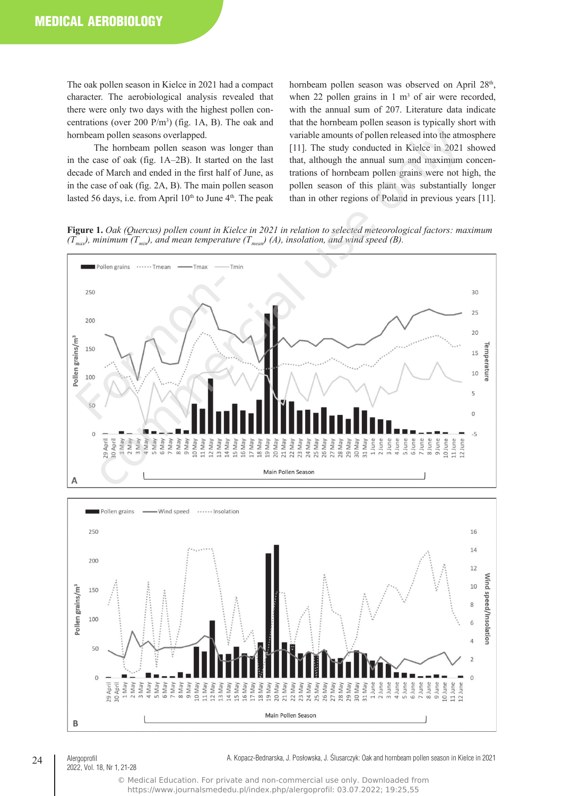The oak pollen season in Kielce in 2021 had a compact character. The aerobiological analysis revealed that there were only two days with the highest pollen concentrations (over 200  $P/m^3$ ) (fig. 1A, B). The oak and hornbeam pollen seasons overlapped.

The hornbeam pollen season was longer than in the case of oak (fig. 1A–2B). It started on the last decade of March and ended in the first half of June, as in the case of oak (fig. 2A, B). The main pollen season lasted 56 days, i.e. from April  $10^{th}$  to June  $4^{th}$ . The peak

hornbeam pollen season was observed on April 28<sup>th</sup>, when 22 pollen grains in  $1 \text{ m}^3$  of air were recorded, with the annual sum of 207. Literature data indicate that the hornbeam pollen season is typically short with variable amounts of pollen released into the atmosphere [11]. The study conducted in Kielce in 2021 showed that, although the annual sum and maximum concentrations of hornbeam pollen grains were not high, the pollen season of this plant was substantially longer than in other regions of Poland in previous years [11].

**Figure 1.** *Oak (Quercus) pollen count in Kielce in 2021 in relation to selected meteorological factors: maximum*   $(T_{\textit{max}})$ , minimum  $(T_{\textit{min}})$ , and mean temperature  $(T_{\textit{mean}})$  (A), insolation, and wind speed (B).





#### 24 | Alergoprofil 2022, Vol. 18, Nr 1, 21-28

A. Kopacz-Bednarska, J. Posłowska, J. Ślusarczyk: Oak and hornbeam pollen season in Kielce in 2021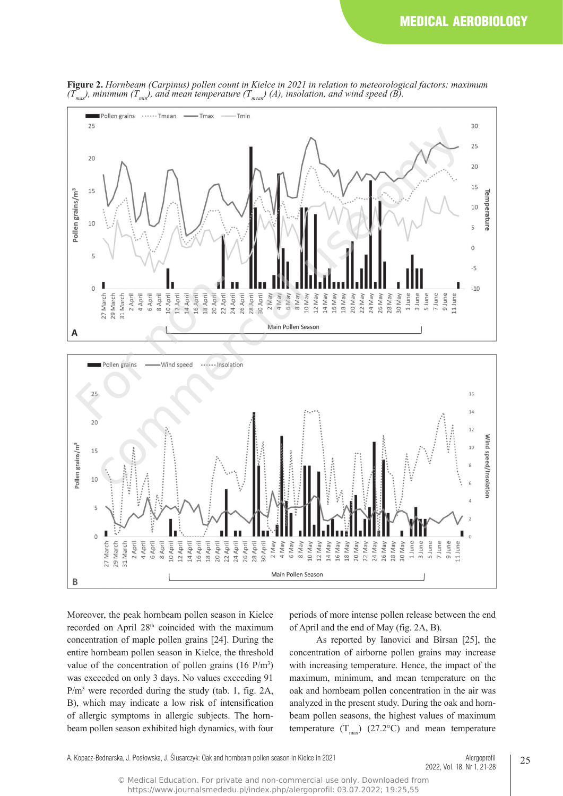

**Figure 2.** *Hornbeam (Carpinus) pollen count in Kielce in 2021 in relation to meteorological factors: maximum*   $(T_{\textit{max}})$ , minimum  $(T_{\textit{min}})$ , and mean temperature  $(T_{\textit{mean}})$  (A), insolation, and wind speed (B).



Moreover, the peak hornbeam pollen season in Kielce recorded on April 28<sup>th</sup> coincided with the maximum concentration of maple pollen grains [24]. During the entire hornbeam pollen season in Kielce, the threshold value of the concentration of pollen grains  $(16 \text{ P/m}^3)$ was exceeded on only 3 days. No values exceeding 91 P/m<sup>3</sup> were recorded during the study (tab. 1, fig. 2A, B), which may indicate a low risk of intensification of allergic symptoms in allergic subjects. The hornbeam pollen season exhibited high dynamics, with four

periods of more intense pollen release between the end of April and the end of May (fig. 2A, B).

As reported by Ianovici and Bîrsan [25], the concentration of airborne pollen grains may increase with increasing temperature. Hence, the impact of the maximum, minimum, and mean temperature on the oak and hornbeam pollen concentration in the air was analyzed in the present study. During the oak and hornbeam pollen seasons, the highest values of maximum temperature  $(T_{max})$  (27.2°C) and mean temperature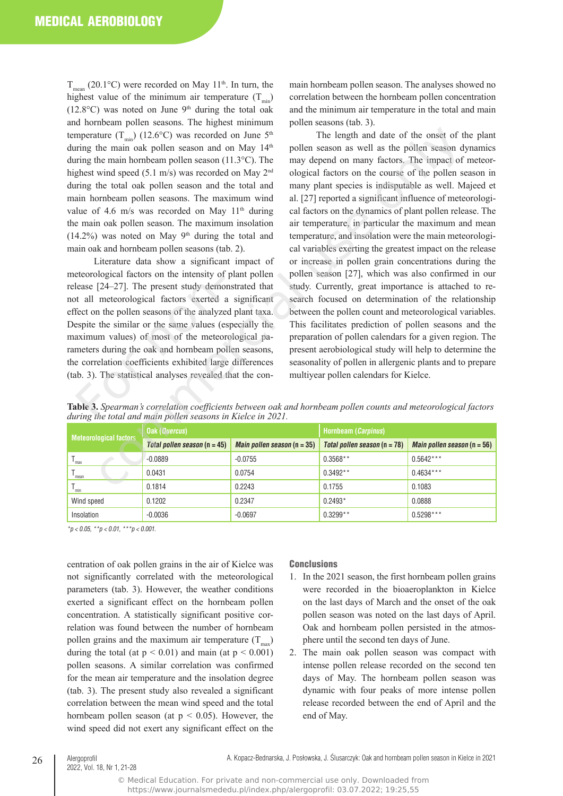$T_{\text{mean}}$  (20.1 °C) were recorded on May 11<sup>th</sup>. In turn, the highest value of the minimum air temperature  $(T_{min})$  $(12.8\degree C)$  was noted on June 9<sup>th</sup> during the total oak and hornbeam pollen seasons. The highest minimum temperature  $(T_{\min})$  (12.6°C) was recorded on June 5<sup>th</sup> during the main oak pollen season and on May 14th during the main hornbeam pollen season (11.3°C). The highest wind speed (5.1 m/s) was recorded on May 2<sup>nd</sup> during the total oak pollen season and the total and main hornbeam pollen seasons. The maximum wind value of 4.6 m/s was recorded on May  $11<sup>th</sup>$  during the main oak pollen season. The maximum insolation  $(14.2\%)$  was noted on May 9<sup>th</sup> during the total and main oak and hornbeam pollen seasons (tab. 2).

Literature data show a significant impact of meteorological factors on the intensity of plant pollen release [24–27]. The present study demonstrated that not all meteorological factors exerted a significant effect on the pollen seasons of the analyzed plant taxa. Despite the similar or the same values (especially the maximum values) of most of the meteorological parameters during the oak and hornbeam pollen seasons, the correlation coefficients exhibited large differences (tab. 3). The statistical analyses revealed that the condease [24–27]. The present study demotive all meteorological factors exerted a<br>fect on the pollen seasons of the analyze<br>fect on the pollen seasons of the analyze<br>espite the similar or the same values (e<br>aximum values) of

main hornbeam pollen season. The analyses showed no correlation between the hornbeam pollen concentration and the minimum air temperature in the total and main pollen seasons (tab. 3).

The length and date of the onset of the plant pollen season as well as the pollen season dynamics may depend on many factors. The impact of meteorological factors on the course of the pollen season in many plant species is indisputable as well. Majeed et al. [27] reported a significant influence of meteorological factors on the dynamics of plant pollen release. The air temperature, in particular the maximum and mean temperature, and insolation were the main meteorological variables exerting the greatest impact on the release or increase in pollen grain concentrations during the pollen season [27], which was also confirmed in our study. Currently, great importance is attached to research focused on determination of the relationship between the pollen count and meteorological variables. This facilitates prediction of pollen seasons and the preparation of pollen calendars for a given region. The present aerobiological study will help to determine the seasonality of pollen in allergenic plants and to prepare multiyear pollen calendars for Kielce. three (T<sub>um</sub>) (12.6°C) was recorded on June 5<sup>%</sup><br>The length and date of the mast of the the main oak pollen season at on May 1<sup>4%</sup> pollen season as well as the joint season at the main obnehas the pollen season at the mai

| <b>Meteorological factors</b> | <b>Oak (Quercus)</b>           |                                      | Hornbeam (Carpinus)            |                                      |  |  |
|-------------------------------|--------------------------------|--------------------------------------|--------------------------------|--------------------------------------|--|--|
|                               | Total pollen season $(n = 45)$ | <i>Main pollen season</i> $(n = 35)$ | Total pollen season $(n = 78)$ | <i>Main pollen season</i> $(n = 56)$ |  |  |
| max                           | $-0.0889$                      | $-0.0755$                            | $0.3568**$                     | $0.5642***$                          |  |  |
| mean                          | 0.0431                         | 0.0754                               | $0.3492**$                     | $0.4634***$                          |  |  |
| min                           | 0.1814                         | 0.2243                               | 0.1755                         | 0.1083                               |  |  |
| Wind speed                    | 0.1202                         | 0.2347                               | $0.2493*$                      | 0.0888                               |  |  |
| Insolation                    | $-0.0036$                      | $-0.0697$                            | $0.3299**$                     | $0.5298***$                          |  |  |

**Table 3.** *Spearman's correlation coefficients between oak and hornbeam pollen counts and meteorological factors during the total and main pollen seasons in Kielce in 2021.*

*\*p < 0.05, \*\*p < 0.01, \*\*\*p < 0.001.*

centration of oak pollen grains in the air of Kielce was not significantly correlated with the meteorological parameters (tab. 3). However, the weather conditions exerted a significant effect on the hornbeam pollen concentration. A statistically significant positive correlation was found between the number of hornbeam pollen grains and the maximum air temperature  $(T<sub>max</sub>)$ during the total (at  $p < 0.01$ ) and main (at  $p < 0.001$ ) pollen seasons. A similar correlation was confirmed for the mean air temperature and the insolation degree (tab. 3). The present study also revealed a significant correlation between the mean wind speed and the total hornbeam pollen season (at  $p < 0.05$ ). However, the wind speed did not exert any significant effect on the

## **Conclusions**

- 1. In the 2021 season, the first hornbeam pollen grains were recorded in the bioaeroplankton in Kielce on the last days of March and the onset of the oak pollen season was noted on the last days of April. Oak and hornbeam pollen persisted in the atmosphere until the second ten days of June.
- 2. The main oak pollen season was compact with intense pollen release recorded on the second ten days of May. The hornbeam pollen season was dynamic with four peaks of more intense pollen release recorded between the end of April and the end of May.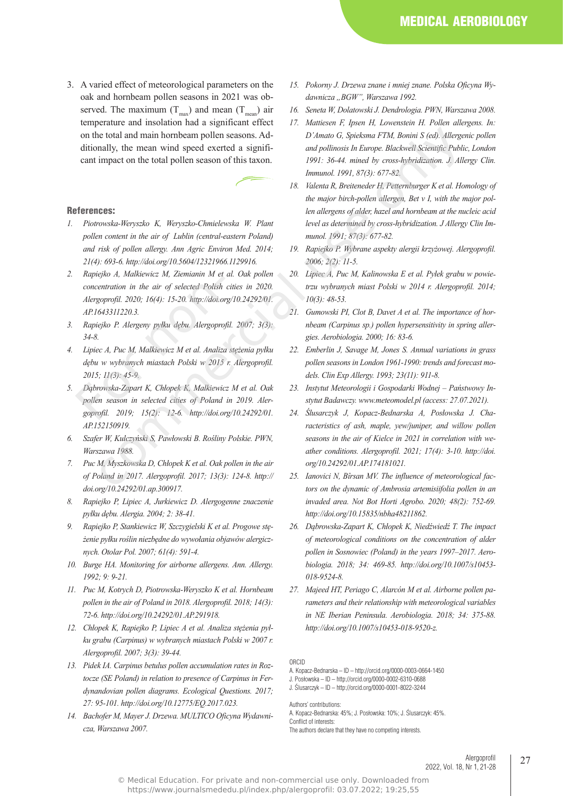3. A varied effect of meteorological parameters on the oak and hornbeam pollen seasons in 2021 was observed. The maximum  $(T_{\text{max}})$  and mean  $(T_{\text{mean}})$  air temperature and insolation had a significant effect on the total and main hornbeam pollen seasons. Additionally, the mean wind speed exerted a significant impact on the total pollen season of this taxon.

#### References:

- *1. Piotrowska-Weryszko K, Weryszko-Chmielewska W. Plant pollen content in the air of Lublin (central-eastern Poland) and risk of pollen allergy. Ann Agric Environ Med. 2014; 21(4): 693-6. http://doi.org/10.5604/12321966.1129916.*
- *2. Rapiejko A, Malkiewicz M, Ziemianin M et al. Oak pollen concentration in the air of selected Polish cities in 2020. Alergoprofil. 2020; 16(4): 15-20. http://doi.org/10.24292/01. AP.1643311220.3.*  Examination in the air of selected Polish<br>Alergoprofil. 2020; 16(4): 15-20. http://doi.or<br>AP.1643311220.3.<br>Rapiejko P. Alergeny pylku dębu. Alergopro,<br>34-8.<br>Lipiec A, Puc M, Malkiewicz M et al. Analiza<br>dębu w wybranych mia
- *3. Rapiejko P. Alergeny pyłku dębu. Alergoprofil. 2007; 3(3): 34-8.*
- *4. Lipiec A, Puc M, Malkiewicz M et al. Analiza stężenia pyłku dębu w wybranych miastach Polski w 2015 r. Alergoprofil. 2015; 11(3): 45-9.*
- *5. Dąbrowska-Zapart K, Chłopek K, Malkiewicz M et al. Oak pollen season in selected cities of Poland in 2019. Alergoprofil. 2019; 15(2): 12-6. http://doi.org/10.24292/01. AP.152150919.*
- *6. Szafer W, Kulczyński S, Pawłowski B. Rośliny Polskie. PWN, Warszawa 1988.*
- *7. Puc M, Myszkowska D, Chłopek K et al. Oak pollen in the air of Poland in 2017. Alergoprofil. 2017; 13(3): 124-8. http:// doi.org/10.24292/01.ap.300917.*
- *8. Rapiejko P, Lipiec A, Jurkiewicz D. Alergogenne znaczenie pyłku dębu. Alergia. 2004; 2: 38-41.*
- *9. Rapiejko P, Stankiewicz W, Szczygielski K et al. Progowe stężenie pyłku roślin niezbędne do wywołania objawów alergicznych. Otolar Pol. 2007; 61(4): 591-4.*
- *10. Burge HA. Monitoring for airborne allergens. Ann. Allergy. 1992; 9: 9-21.*
- *11. Puc M, Kotrych D, Piotrowska-Weryszko K et al. Hornbeam pollen in the air of Poland in 2018. Alergoprofil. 2018; 14(3): 72-6. http://doi.org/10.24292/01.AP.291918.*
- *12. Chłopek K, Rapiejko P, Lipiec A et al. Analiza stężenia pyłku grabu (Carpinus) w wybranych miastach Polski w 2007 r. Alergoprofil. 2007; 3(3): 39-44.*
- *13. Pidek IA. Carpinus betulus pollen accumulation rates in Roztocze (SE Poland) in relation to presence of Carpinus in Ferdynandovian pollen diagrams. Ecological Questions. 2017; 27: 95-101. http://doi.org/10.12775/EQ.2017.023.*
- *14. Bachofer M, Mayer J. Drzewa. MULtICO Oficyna Wydawnicza, Warszawa 2007.*
- *15. Pokorny J. Drzewa znane i mniej znane. Polska Oficyna Wydawnicza "BGW", Warszawa 1992.*
- *16. Seneta W, Dolatowski J. Dendrologia. PWN, Warszawa 2008.*
- *17. Mattiesen F, Ipsen H, Lowenstein H. Pollen allergens. In: D'Amato G, Spieksma FtM, Bonini S (ed). Allergenic pollen and pollinosis In Europe. Blackwell Scientific Public, London 1991: 36-44. mined by cross-hybridization. J. Allergy Clin. Immunol. 1991, 87(3): 677-82.*
- *18. Valenta R, Breiteneder H, Petternburger K et al. Homology of the major birch-pollen allergen, Bet v I, with the major pollen allergens of alder, hazel and hornbeam at the nucleic acid level as determined by cross-hybridization. J Allergy Clin Immunol. 1991; 87(3): 677-82.*
- *19. Rapiejko P. Wybrane aspekty alergii krzyżowej. Alergoprofil. 2006; 2(2): 11-5.*
- *20. Lipiec A, Puc M, Kalinowska E et al. Pyłek grabu w powietrzu wybranych miast Polski w 2014 r. Alergoprofil. 2014; 10(3): 48-53.*
- 21. Gumowski PI, Clot B, Davet A et al. The importance of hor*nbeam (Carpinus sp.) pollen hypersensitivity in spring allergies. Aerobiologia. 2000; 16: 83-6.*
- *22. Emberlin J, Savage M, Jones S. Annual variations in grass pollen seasons in London 1961-1990: trends and forecast models. Clin Exp Allergy. 1993; 23(11): 911-8.*
- *23. Instytut Meteorologii i Gospodarki Wodnej Państwowy Instytut Badawczy. www.meteomodel.pl (access: 27.07.2021).*
- *24. Ślusarczyk J, Kopacz-Bednarska A, Posłowska J. Characteristics of ash, maple, yew/juniper, and willow pollen seasons in the air of Kielce in 2021 in correlation with weather conditions. Alergoprofil. 2021; 17(4): 3-10. http://doi. org/10.24292/01.AP.174181021.* in the total and main hornbeam pollen scasons. Ad-<br>
in particular of Spieksma FTM, Bonini S (ed), Allerge<br>
impact on the total pollen scason of this taxon.<br>
impact on the total pollen scason of this taxon.<br>
impact on the
	- *25. Ianovici N, Bîrsan MV. The influence of meteorological factors on the dynamic of Ambrosia artemisiifolia pollen in an invaded area. Not Bot Horti Agrobo. 2020; 48(2): 752-69. http://doi.org/10.15835/nbha48211862.*
	- *26. Dąbrowska-Zapart K, Chłopek K, Niedźwiedź T. The impact of meteorological conditions on the concentration of alder pollen in Sosnowiec (Poland) in the years 1997–2017. Aerobiologia. 2018; 34: 469-85. http://doi.org/10.1007/s10453- 018-9524-8.*
	- *27. Majeed HT, Periago C, Alarcón M et al. Airborne pollen parameters and their relationship with meteorological variables in NE Iberian Peninsula. Aerobiologia. 2018; 34: 375-88. http://doi.org/10.1007/s10453-018-9520-z.*

Authors' contributions: A. Kopacz-Bednarska: 45%; J. Posłowska: 10%; J. Ślusarczyk: 45%. Conflict of interests: The authors declare that they have no competing interests.

> Alergoprofil 27 2022, Vol. 18, Nr 1, 21-28

ORCID

A. Kopacz-Bednarska – ID – http://orcid.org/0000-0003-0664-1450 J. Posłowska – ID – http://orcid.org/0000-0002-6310-0688 J. Ślusarczyk – ID – http://orcid.org/0000-0001-8022-3244